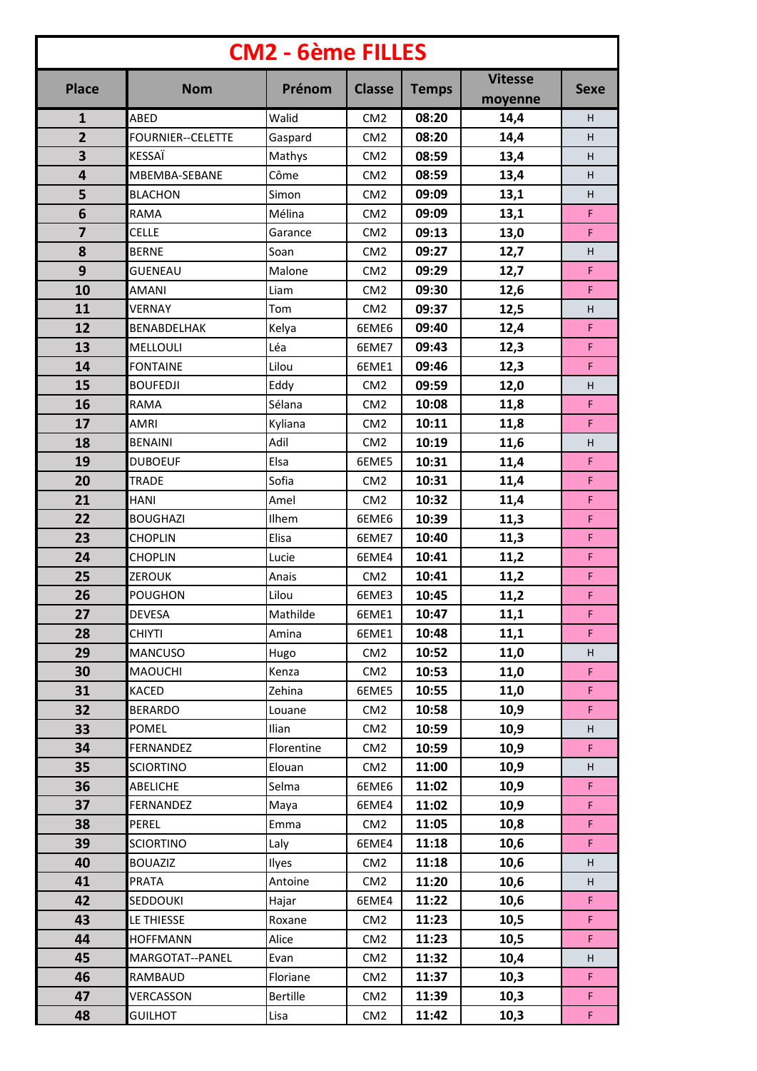| <b>CM2 - 6ème FILLES</b> |                          |                 |                 |              |                           |             |  |
|--------------------------|--------------------------|-----------------|-----------------|--------------|---------------------------|-------------|--|
| <b>Place</b>             | <b>Nom</b>               | Prénom          | <b>Classe</b>   | <b>Temps</b> | <b>Vitesse</b><br>moyenne | <b>Sexe</b> |  |
| $\mathbf{1}$             | ABED                     | Walid           | CM <sub>2</sub> | 08:20        | 14,4                      | H           |  |
| $\overline{2}$           | <b>FOURNIER--CELETTE</b> | Gaspard         | CM <sub>2</sub> | 08:20        | 14,4                      | H.          |  |
| $\overline{\mathbf{3}}$  | KESSAÏ                   | Mathys          | CM <sub>2</sub> | 08:59        | 13,4                      | H           |  |
| $\overline{\mathbf{4}}$  | MBEMBA-SEBANE            | Côme            | CM <sub>2</sub> | 08:59        | 13,4                      | H           |  |
| 5                        | <b>BLACHON</b>           | Simon           | CM <sub>2</sub> | 09:09        | 13,1                      | H.          |  |
| 6                        | <b>RAMA</b>              | Mélina          | CM <sub>2</sub> | 09:09        | 13,1                      | F.          |  |
| $\overline{\mathbf{z}}$  | <b>CELLE</b>             | Garance         | CM <sub>2</sub> | 09:13        | 13,0                      | F.          |  |
| 8                        | <b>BERNE</b>             | Soan            | CM <sub>2</sub> | 09:27        | 12,7                      | H           |  |
| 9                        | <b>GUENEAU</b>           | Malone          | CM <sub>2</sub> | 09:29        | 12,7                      | F.          |  |
| 10                       | <b>AMANI</b>             | Liam            | CM <sub>2</sub> | 09:30        | 12,6                      | F.          |  |
| 11                       | <b>VERNAY</b>            | Tom             | CM <sub>2</sub> | 09:37        | 12,5                      | H           |  |
| 12                       | BENABDELHAK              | Kelya           | 6EME6           | 09:40        | 12,4                      | F           |  |
| 13                       | MELLOULI                 | Léa             | 6EME7           | 09:43        | 12,3                      | F.          |  |
| 14                       | <b>FONTAINE</b>          | Lilou           | 6EME1           | 09:46        | 12,3                      | F.          |  |
| 15                       | <b>BOUFEDJI</b>          | Eddy            | CM <sub>2</sub> | 09:59        | 12,0                      | H           |  |
| 16                       | <b>RAMA</b>              | Sélana          | CM <sub>2</sub> | 10:08        | 11,8                      | F           |  |
| 17                       | AMRI                     | Kyliana         | CM <sub>2</sub> | 10:11        | 11,8                      | F.          |  |
| 18                       | <b>BENAINI</b>           | Adil            | CM <sub>2</sub> | 10:19        | 11,6                      | H           |  |
| 19                       | <b>DUBOEUF</b>           | Elsa            | 6EME5           | 10:31        | 11,4                      | F.          |  |
| 20                       | TRADE                    | Sofia           | CM <sub>2</sub> | 10:31        | 11,4                      | F.          |  |
| 21                       | <b>HANI</b>              | Amel            | CM <sub>2</sub> | 10:32        | 11,4                      | F.          |  |
| 22                       | <b>BOUGHAZI</b>          | Ilhem           | 6EME6           | 10:39        | 11,3                      | F.          |  |
| 23                       | <b>CHOPLIN</b>           | Elisa           | 6EME7           | 10:40        | 11,3                      | F.          |  |
| 24                       | <b>CHOPLIN</b>           | Lucie           | 6EME4           | 10:41        | 11,2                      | F           |  |
| 25                       | <b>ZEROUK</b>            | Anais           | CM <sub>2</sub> | 10:41        | 11,2                      | F           |  |
| 26                       | <b>POUGHON</b>           | Lilou           | 6EME3           | 10:45        | 11,2                      | F           |  |
| 27                       | <b>DEVESA</b>            | Mathilde        | 6EME1           | 10:47        | 11,1                      | F.          |  |
| 28                       | CHIYTI                   | Amina           | 6EME1           | 10:48        | 11,1                      | F.          |  |
| 29                       | <b>MANCUSO</b>           | Hugo            | CM <sub>2</sub> | 10:52        | 11,0                      | H           |  |
| 30                       | MAOUCHI                  | Kenza           | CM <sub>2</sub> | 10:53        | 11,0                      | F.          |  |
| 31                       | KACED                    | Zehina          | 6EME5           | 10:55        | 11,0                      | F.          |  |
| 32                       | <b>BERARDO</b>           | Louane          | CM <sub>2</sub> | 10:58        | 10,9                      | F.          |  |
| 33                       | <b>POMEL</b>             | Ilian           | CM <sub>2</sub> | 10:59        | 10,9                      | H           |  |
| 34                       | FERNANDEZ                | Florentine      | CM <sub>2</sub> | 10:59        | 10,9                      | F.          |  |
| 35                       | <b>SCIORTINO</b>         | Elouan          | CM <sub>2</sub> | 11:00        | 10,9                      | H           |  |
| 36                       | ABELICHE                 | Selma           | 6EME6           | 11:02        | 10,9                      | F.          |  |
| 37                       | FERNANDEZ                | Maya            | 6EME4           | 11:02        | 10,9                      | F.          |  |
| 38                       | PEREL                    | Emma            | CM <sub>2</sub> | 11:05        | 10,8                      | F.          |  |
| 39                       | <b>SCIORTINO</b>         | Laly            | 6EME4           | 11:18        | 10,6                      | F.          |  |
| 40                       | <b>BOUAZIZ</b>           | Ilyes           | CM <sub>2</sub> | 11:18        | 10,6                      | Н.          |  |
| 41                       | <b>PRATA</b>             | Antoine         | CM <sub>2</sub> | 11:20        | 10,6                      | H           |  |
| 42                       | SEDDOUKI                 | Hajar           | 6EME4           | 11:22        | 10,6                      | F.          |  |
| 43                       | LE THIESSE               | Roxane          | CM <sub>2</sub> | 11:23        | 10,5                      | F.          |  |
| 44                       | <b>HOFFMANN</b>          | Alice           | CM <sub>2</sub> | 11:23        | 10,5                      | F.          |  |
| 45                       | MARGOTAT--PANEL          | Evan            | CM <sub>2</sub> | 11:32        | 10,4                      | H           |  |
| 46                       | RAMBAUD                  | Floriane        | CM <sub>2</sub> | 11:37        | 10,3                      | F.          |  |
| 47                       | VERCASSON                | <b>Bertille</b> | CM <sub>2</sub> | 11:39        | 10,3                      | F.          |  |
| 48                       | <b>GUILHOT</b>           | Lisa            | CM <sub>2</sub> | 11:42        | 10,3                      | F.          |  |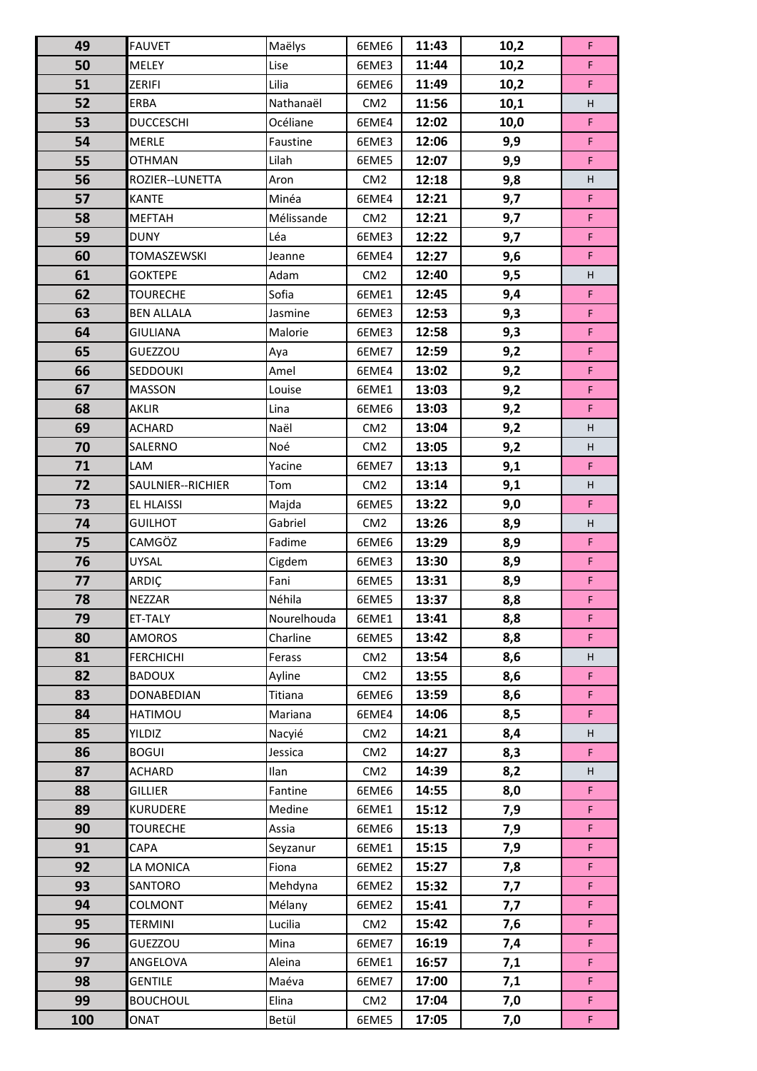| 49  | <b>FAUVET</b>     | Maëlys      | 6EME6           | 11:43 | 10,2 | F. |
|-----|-------------------|-------------|-----------------|-------|------|----|
| 50  | MELEY             | Lise        | 6EME3           | 11:44 | 10,2 | F. |
| 51  | <b>ZERIFI</b>     | Lilia       | 6EME6           | 11:49 | 10,2 | F. |
| 52  | ERBA              | Nathanaël   | CM <sub>2</sub> | 11:56 | 10,1 | H  |
| 53  | <b>DUCCESCHI</b>  | Océliane    | 6EME4           | 12:02 | 10,0 | F. |
| 54  | <b>MERLE</b>      | Faustine    | 6EME3           | 12:06 | 9,9  | F. |
| 55  | <b>OTHMAN</b>     | Lilah       | 6EME5           | 12:07 | 9,9  | F. |
| 56  | ROZIER--LUNETTA   | Aron        | CM <sub>2</sub> | 12:18 | 9,8  | H  |
| 57  | <b>KANTE</b>      | Minéa       | 6EME4           | 12:21 | 9,7  | F. |
| 58  | <b>MEFTAH</b>     | Mélissande  | CM <sub>2</sub> | 12:21 | 9,7  | F. |
| 59  | <b>DUNY</b>       | Léa         | 6EME3           | 12:22 | 9,7  | F. |
| 60  | TOMASZEWSKI       | Jeanne      | 6EME4           | 12:27 | 9,6  | F. |
| 61  | <b>GOKTEPE</b>    | Adam        | CM <sub>2</sub> | 12:40 | 9,5  | H  |
| 62  | <b>TOURECHE</b>   | Sofia       | 6EME1           | 12:45 | 9,4  | F. |
| 63  | <b>BEN ALLALA</b> | Jasmine     | 6EME3           | 12:53 | 9,3  | F. |
| 64  | <b>GIULIANA</b>   | Malorie     | 6EME3           | 12:58 | 9,3  | F. |
| 65  | GUEZZOU           | Aya         | 6EME7           | 12:59 | 9,2  | F. |
| 66  | SEDDOUKI          | Amel        | 6EME4           | 13:02 | 9,2  | F. |
| 67  | <b>MASSON</b>     | Louise      | 6EME1           | 13:03 | 9,2  | F. |
| 68  | AKLIR             | Lina        | 6EME6           | 13:03 | 9,2  | F. |
| 69  | <b>ACHARD</b>     | Naël        | CM <sub>2</sub> | 13:04 | 9,2  | H  |
| 70  | SALERNO           | Noé         | CM <sub>2</sub> | 13:05 | 9,2  | H. |
| 71  | LAM               | Yacine      | 6EME7           | 13:13 | 9,1  | F. |
| 72  | SAULNIER--RICHIER | Tom         | CM <sub>2</sub> | 13:14 | 9,1  | H  |
| 73  | EL HLAISSI        | Majda       | 6EME5           | 13:22 | 9,0  | F. |
| 74  | <b>GUILHOT</b>    | Gabriel     | CM <sub>2</sub> | 13:26 | 8,9  | H  |
| 75  | CAMGÖZ            | Fadime      | 6EME6           | 13:29 | 8,9  | F. |
| 76  | <b>UYSAL</b>      | Cigdem      | 6EME3           | 13:30 | 8,9  | F. |
| 77  | ARDIÇ             | Fani        | 6EME5           | 13:31 | 8,9  | F. |
| 78  | <b>NEZZAR</b>     | Néhila      | 6EME5           | 13:37 | 8,8  | F. |
| 79  | ET-TALY           | Nourelhouda | 6EME1           | 13:41 | 8,8  | F. |
| 80  | <b>AMOROS</b>     | Charline    | 6EME5           | 13:42 | 8,8  | F. |
| 81  | <b>FERCHICHI</b>  | Ferass      | CM <sub>2</sub> | 13:54 | 8,6  | H  |
| 82  | <b>BADOUX</b>     | Ayline      | CM <sub>2</sub> | 13:55 | 8,6  | F. |
| 83  | <b>DONABEDIAN</b> | Titiana     | 6EME6           | 13:59 | 8,6  | F. |
| 84  | HATIMOU           | Mariana     | 6EME4           | 14:06 | 8,5  | F. |
| 85  | <b>YILDIZ</b>     | Nacyié      | CM <sub>2</sub> | 14:21 | 8,4  | H  |
| 86  | <b>BOGUI</b>      | Jessica     | CM <sub>2</sub> | 14:27 | 8,3  | F. |
| 87  | <b>ACHARD</b>     | Ilan        | CM <sub>2</sub> | 14:39 | 8,2  | H  |
| 88  | <b>GILLIER</b>    | Fantine     | 6EME6           | 14:55 | 8,0  | F. |
| 89  | <b>KURUDERE</b>   | Medine      | 6EME1           | 15:12 | 7,9  | F. |
| 90  | <b>TOURECHE</b>   | Assia       | 6EME6           | 15:13 | 7,9  | F. |
| 91  | CAPA              | Seyzanur    | 6EME1           | 15:15 | 7,9  | F. |
| 92  | LA MONICA         | Fiona       | 6EME2           | 15:27 | 7,8  | F. |
| 93  | SANTORO           | Mehdyna     | 6EME2           | 15:32 | 7,7  | F. |
| 94  | COLMONT           | Mélany      | 6EME2           | 15:41 | 7,7  | F. |
| 95  | <b>TERMINI</b>    | Lucilia     | CM <sub>2</sub> | 15:42 | 7,6  | F. |
| 96  | GUEZZOU           | Mina        | 6EME7           | 16:19 | 7,4  | F. |
| 97  | ANGELOVA          | Aleina      | 6EME1           | 16:57 | 7,1  | F. |
| 98  | <b>GENTILE</b>    | Maéva       | 6EME7           | 17:00 | 7,1  | F. |
| 99  | <b>BOUCHOUL</b>   | Elina       | CM <sub>2</sub> | 17:04 | 7,0  | F. |
| 100 | ONAT              | Betül       | 6EME5           | 17:05 | 7,0  | F. |